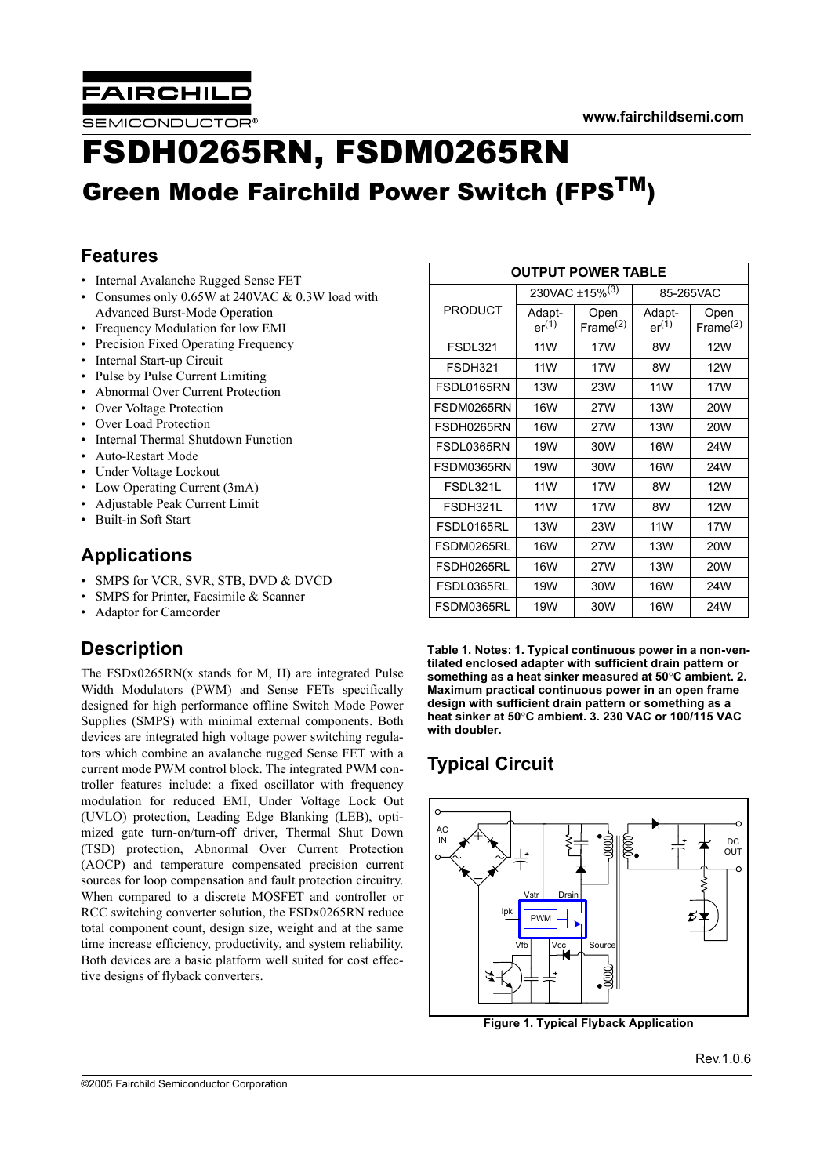

# FSDH0265RN, FSDM0265RN Green Mode Fairchild Power Switch (FPSTM)

## **Features**

- Internal Avalanche Rugged Sense FET
- Consumes only 0.65W at 240VAC & 0.3W load with Advanced Burst-Mode Operation
- Frequency Modulation for low EMI
- Precision Fixed Operating Frequency
- Internal Start-up Circuit
- Pulse by Pulse Current Limiting
- Abnormal Over Current Protection
- Over Voltage Protection
- Over Load Protection
- Internal Thermal Shutdown Function
- Auto-Restart Mode
- Under Voltage Lockout
- Low Operating Current (3mA)
- Adjustable Peak Current Limit
- Built-in Soft Start

## **Applications**

- SMPS for VCR, SVR, STB, DVD & DVCD
- SMPS for Printer, Facsimile & Scanner
- Adaptor for Camcorder

# **Description**

The  $FSDx0265RN(x stands for M, H)$  are integrated Pulse Width Modulators (PWM) and Sense FETs specifically designed for high performance offline Switch Mode Power Supplies (SMPS) with minimal external components. Both devices are integrated high voltage power switching regulators which combine an avalanche rugged Sense FET with a current mode PWM control block. The integrated PWM controller features include: a fixed oscillator with frequency modulation for reduced EMI, Under Voltage Lock Out (UVLO) protection, Leading Edge Blanking (LEB), optimized gate turn-on/turn-off driver, Thermal Shut Down (TSD) protection, Abnormal Over Current Protection (AOCP) and temperature compensated precision current sources for loop compensation and fault protection circuitry. When compared to a discrete MOSFET and controller or RCC switching converter solution, the FSDx0265RN reduce total component count, design size, weight and at the same time increase efficiency, productivity, and system reliability. Both devices are a basic platform well suited for cost effective designs of flyback converters.

| <b>OUTPUT POWER TABLE</b> |                      |                            |                      |                     |  |  |  |
|---------------------------|----------------------|----------------------------|----------------------|---------------------|--|--|--|
|                           |                      | 230VAC ±15% <sup>(3)</sup> | 85-265VAC            |                     |  |  |  |
| <b>PRODUCT</b>            | Adapt-<br>$er^{(1)}$ | Open<br>Frame $(2)$        | Adapt-<br>$er^{(1)}$ | Open<br>Frame $(2)$ |  |  |  |
| <b>FSDL321</b>            | <b>11W</b>           | 17W                        | 8W                   | 12W                 |  |  |  |
| FSDH321                   | <b>11W</b>           | 17W                        | 8W                   | 12W                 |  |  |  |
| FSDL0165RN                | 13W                  | 23W                        | <b>11W</b>           | 17W                 |  |  |  |
| FSDM0265RN                | <b>16W</b>           | 27W                        | <b>13W</b>           | 20W                 |  |  |  |
| FSDH0265RN                | <b>16W</b>           | 27W                        | <b>13W</b>           | 20W                 |  |  |  |
| FSDL0365RN                | 19W                  | 30W                        | <b>16W</b>           | 24W                 |  |  |  |
| FSDM0365RN                | 19W                  | 30W                        | <b>16W</b>           | 24W                 |  |  |  |
| FSDL321L                  | 11 <sub>W</sub>      | 17W                        | 8W                   | 12W                 |  |  |  |
| FSDH321L                  | 11W                  | 17W                        | 8W                   | 12W                 |  |  |  |
| FSDL0165RL                | <b>13W</b>           | 23W                        | <b>11W</b>           | 17W                 |  |  |  |
| FSDM0265RL                | <b>16W</b>           | 27W                        | 13W                  | 20W                 |  |  |  |
| FSDH0265RL                | <b>16W</b>           | 27W                        | <b>13W</b>           | 20W                 |  |  |  |
| FSDL0365RL                | 19W                  | 30W                        | <b>16W</b>           | 24W                 |  |  |  |
| FSDM0365RL                | 19W                  | 30W                        | <b>16W</b>           | 24W                 |  |  |  |

**Table 1. Notes: 1. Typical continuous power in a non-ventilated enclosed adapter with sufficient drain pattern or something as a heat sinker measured at 50**°**C ambient. 2. Maximum practical continuous power in an open frame design with sufficient drain pattern or something as a heat sinker at 50**°**C ambient. 3. 230 VAC or 100/115 VAC with doubler.**

# **Typical Circuit**



**Figure 1. Typical Flyback Application**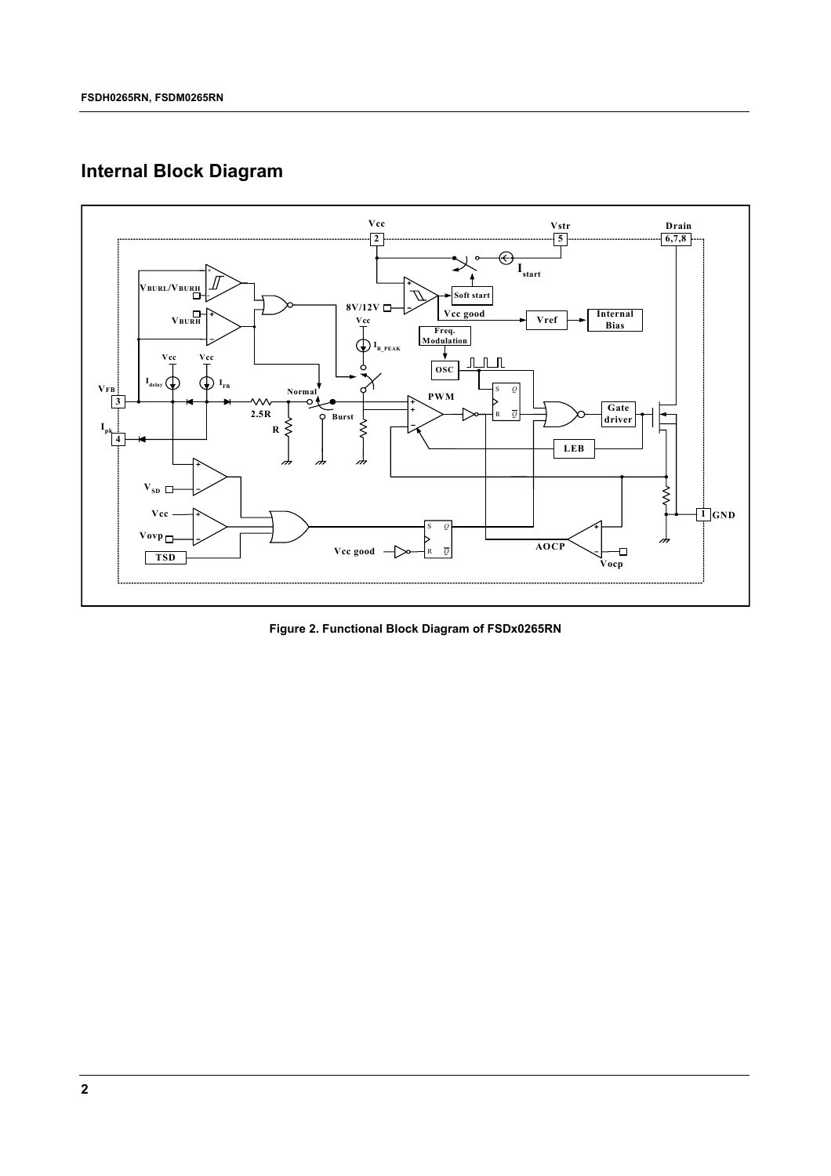# **Internal Block Diagram**



**Figure 2. Functional Block Diagram of FSDx0265RN**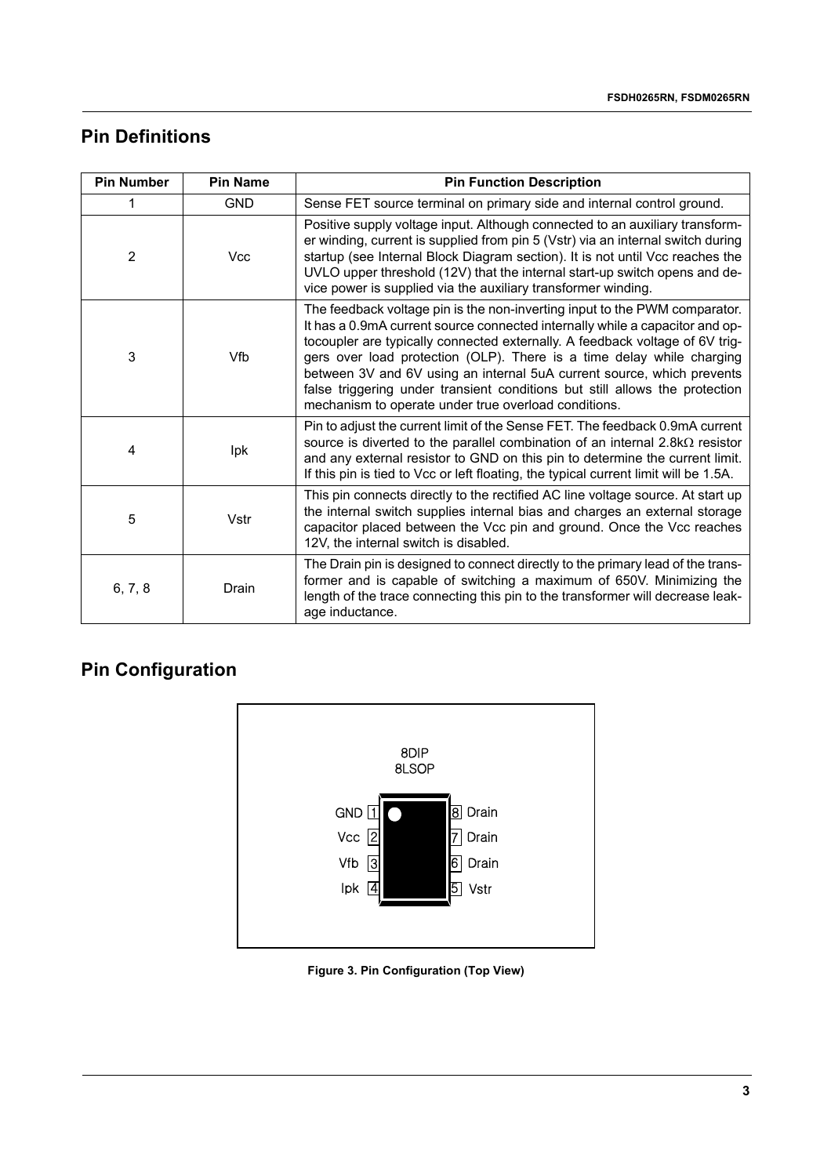## **Pin Definitions**

| <b>Pin Number</b> | <b>Pin Name</b> | <b>Pin Function Description</b>                                                                                                                                                                                                                                                                                                                                                                                                                                                                                                      |
|-------------------|-----------------|--------------------------------------------------------------------------------------------------------------------------------------------------------------------------------------------------------------------------------------------------------------------------------------------------------------------------------------------------------------------------------------------------------------------------------------------------------------------------------------------------------------------------------------|
|                   | <b>GND</b>      | Sense FET source terminal on primary side and internal control ground.                                                                                                                                                                                                                                                                                                                                                                                                                                                               |
| 2                 | <b>Vcc</b>      | Positive supply voltage input. Although connected to an auxiliary transform-<br>er winding, current is supplied from pin 5 (Vstr) via an internal switch during<br>startup (see Internal Block Diagram section). It is not until Vcc reaches the<br>UVLO upper threshold (12V) that the internal start-up switch opens and de-<br>vice power is supplied via the auxiliary transformer winding.                                                                                                                                      |
| 3                 | Vfb             | The feedback voltage pin is the non-inverting input to the PWM comparator.<br>It has a 0.9mA current source connected internally while a capacitor and op-<br>tocoupler are typically connected externally. A feedback voltage of 6V trig-<br>gers over load protection (OLP). There is a time delay while charging<br>between 3V and 6V using an internal 5uA current source, which prevents<br>false triggering under transient conditions but still allows the protection<br>mechanism to operate under true overload conditions. |
| 4                 | Ipk             | Pin to adjust the current limit of the Sense FET. The feedback 0.9mA current<br>source is diverted to the parallel combination of an internal $2.8k\Omega$ resistor<br>and any external resistor to GND on this pin to determine the current limit.<br>If this pin is tied to Vcc or left floating, the typical current limit will be 1.5A.                                                                                                                                                                                          |
| 5                 | Vstr            | This pin connects directly to the rectified AC line voltage source. At start up<br>the internal switch supplies internal bias and charges an external storage<br>capacitor placed between the Vcc pin and ground. Once the Vcc reaches<br>12V, the internal switch is disabled.                                                                                                                                                                                                                                                      |
| 6, 7, 8           | Drain           | The Drain pin is designed to connect directly to the primary lead of the trans-<br>former and is capable of switching a maximum of 650V. Minimizing the<br>length of the trace connecting this pin to the transformer will decrease leak-<br>age inductance.                                                                                                                                                                                                                                                                         |

# **Pin Configuration**



**Figure 3. Pin Configuration (Top View)**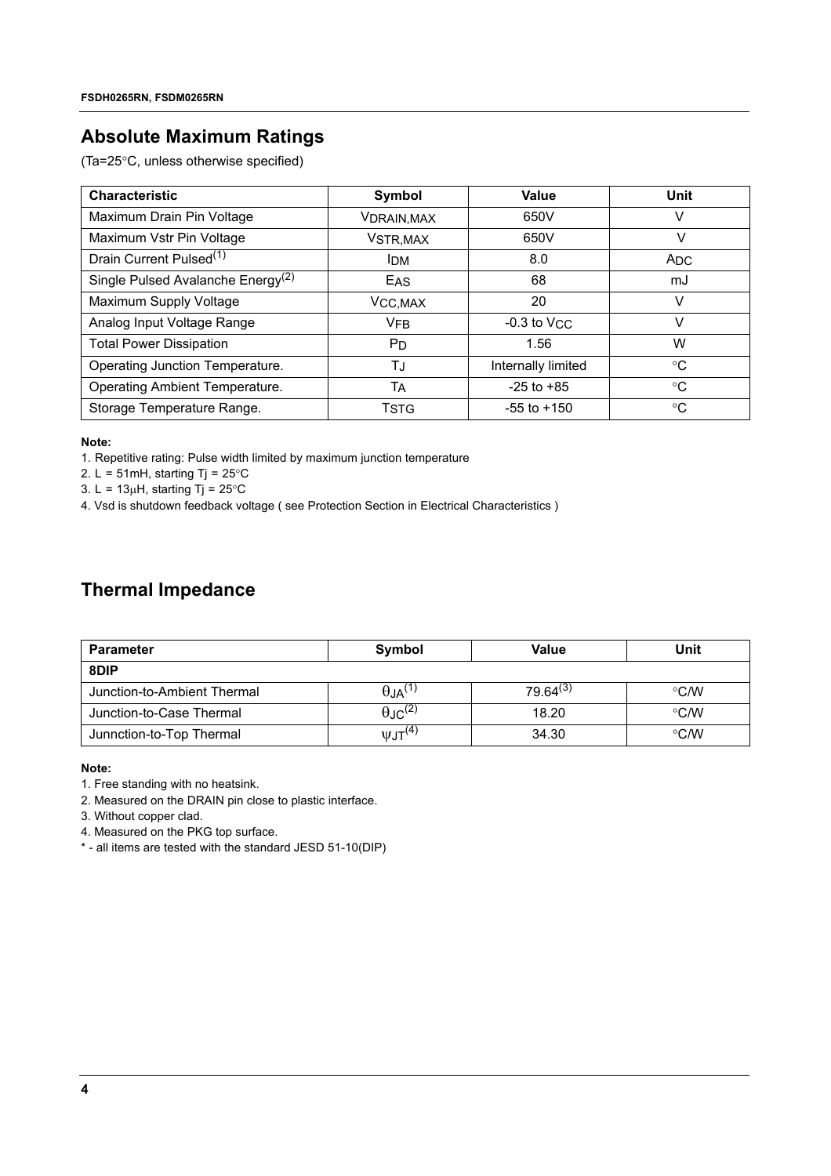## **Absolute Maximum Ratings**

(Ta=25°C, unless otherwise specified)

| <b>Characteristic</b>                         | Symbol                | Value              | Unit            |
|-----------------------------------------------|-----------------------|--------------------|-----------------|
| Maximum Drain Pin Voltage                     | <b>VDRAIN, MAX</b>    | 650V               | v               |
| Maximum Vstr Pin Voltage                      | VSTR, MAX             | 650V               | v               |
| Drain Current Pulsed <sup>(1)</sup>           | <b>IDM</b>            | 8.0                | A <sub>DC</sub> |
| Single Pulsed Avalanche Energy <sup>(2)</sup> | <b>EAS</b>            | 68                 | mJ              |
| Maximum Supply Voltage                        | V <sub>CC</sub> , MAX | 20                 | v               |
| Analog Input Voltage Range                    | <b>VFB</b>            | $-0.3$ to VCC      | V               |
| <b>Total Power Dissipation</b>                | <b>P</b> <sub>D</sub> | 1.56               | W               |
| Operating Junction Temperature.               | TJ                    | Internally limited | °C              |
| <b>Operating Ambient Temperature.</b>         | Тд                    | $-25$ to $+85$     | °C              |
| Storage Temperature Range.                    | Tstg                  | $-55$ to $+150$    | °C              |

### **Note:**

1. Repetitive rating: Pulse width limited by maximum junction temperature

2. L = 51mH, starting Tj =  $25^{\circ}$ C

3. L =  $13\mu$ H, starting Tj =  $25^{\circ}$ C

4. Vsd is shutdown feedback voltage ( see Protection Section in Electrical Characteristics )

## **Thermal Impedance**

| <b>Parameter</b>            | Symbol                     | Value         | Unit          |
|-----------------------------|----------------------------|---------------|---------------|
| 8DIP                        |                            |               |               |
| Junction-to-Ambient Thermal | $\theta$ JA <sup>(1)</sup> | $79.64^{(3)}$ | $\degree$ C/W |
| Junction-to-Case Thermal    | $\theta$ JC <sup>(2)</sup> | 18.20         | $\degree$ C/W |
| Junnction-to-Top Thermal    | $\text{VJT}^{(4)}$         | 34.30         | $\degree$ C/W |

### **Note:**

1. Free standing with no heatsink.

2. Measured on the DRAIN pin close to plastic interface.

3. Without copper clad.

4. Measured on the PKG top surface.

\* - all items are tested with the standard JESD 51-10(DIP)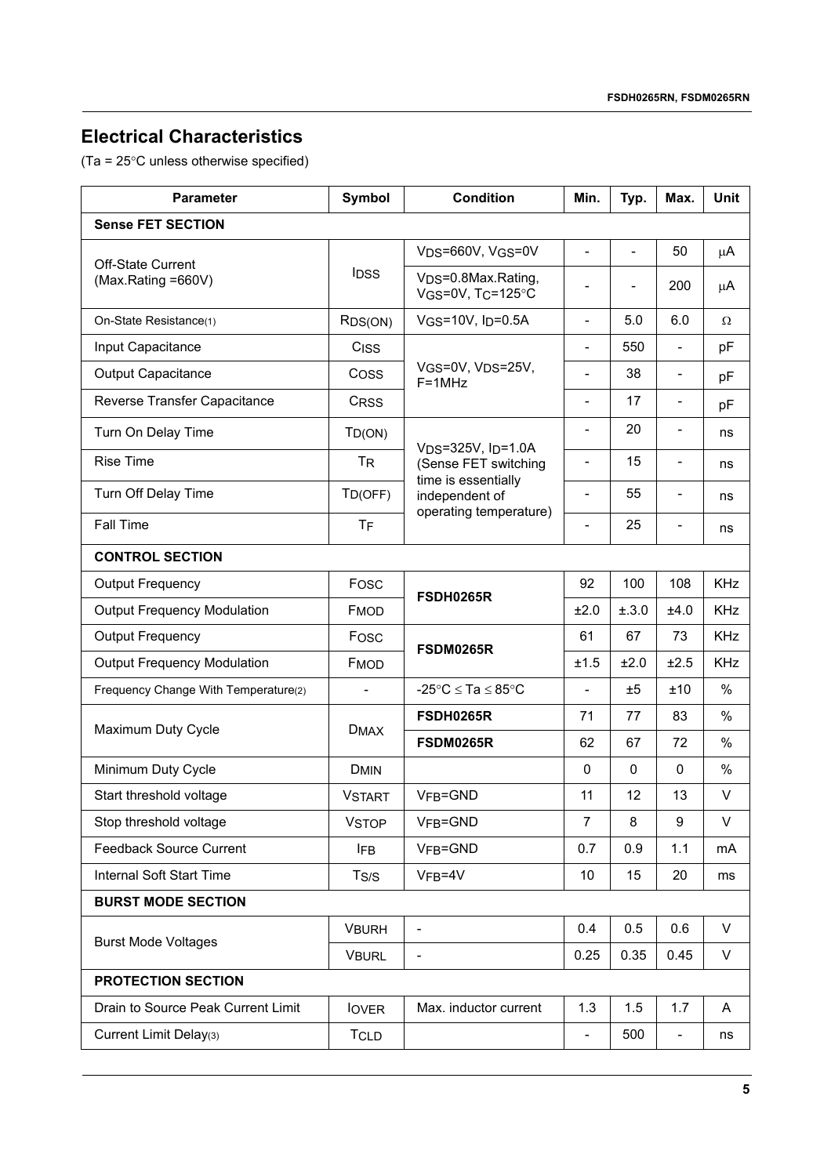# **Electrical Characteristics**

(Ta = 25°C unless otherwise specified)

| <b>Parameter</b>                     | <b>Symbol</b><br><b>Condition</b> |                                                 | Min.                         | Typ.        | Max.                     | Unit       |  |  |
|--------------------------------------|-----------------------------------|-------------------------------------------------|------------------------------|-------------|--------------------------|------------|--|--|
| <b>Sense FET SECTION</b>             |                                   |                                                 |                              |             |                          |            |  |  |
| <b>Off-State Current</b>             |                                   | V <sub>DS</sub> =660V, V <sub>GS</sub> =0V      | $\overline{a}$               | L,          | 50                       | μA         |  |  |
| (Max.Rating =660V)                   | <b>IDSS</b>                       | VDS=0.8Max.Rating,<br>VGS=0V, TC=125°C          |                              |             | 200                      | $\mu$ A    |  |  |
| On-State Resistance(1)               | RDS(ON)                           | VGS=10V, ID=0.5A                                | $\overline{\phantom{0}}$     | 5.0         | 6.0                      | Ω          |  |  |
| Input Capacitance                    | C <sub>ISS</sub>                  |                                                 |                              | 550         | $\overline{\phantom{0}}$ | pF         |  |  |
| <b>Output Capacitance</b>            | Coss                              | VGS=0V, VDS=25V,<br>$F = 1MHz$                  | $\qquad \qquad \blacksquare$ | 38          | $\overline{\phantom{a}}$ | pF         |  |  |
| Reverse Transfer Capacitance         | <b>CRSS</b>                       |                                                 | L,                           | 17          | $\overline{\phantom{a}}$ | pF         |  |  |
| Turn On Delay Time                   | TD(ON)                            |                                                 |                              | 20          |                          | ns         |  |  |
| <b>Rise Time</b>                     | <b>T<sub>R</sub></b>              | $VDS=325V$ , $I_D=1.0A$<br>(Sense FET switching |                              | 15          | ٠                        | ns         |  |  |
| Turn Off Delay Time                  | TD(OFF)                           | time is essentially<br>independent of           | L,                           | 55          |                          | ns         |  |  |
| <b>Fall Time</b>                     | <b>TF</b>                         | operating temperature)                          | $\overline{a}$               | 25          | $\overline{\phantom{a}}$ | ns         |  |  |
| <b>CONTROL SECTION</b>               |                                   |                                                 |                              |             |                          |            |  |  |
| <b>Output Frequency</b>              | Fosc                              | FSDH0265R                                       | 92                           | 100         | 108                      | <b>KHz</b> |  |  |
| <b>Output Frequency Modulation</b>   | <b>FMOD</b>                       |                                                 | ±2.0                         | ±.3.0       | ±4.0                     | <b>KHz</b> |  |  |
| <b>Output Frequency</b>              | Fosc                              | FSDM0265R                                       | 61                           | 67          | 73                       | <b>KHz</b> |  |  |
| <b>Output Frequency Modulation</b>   | <b>FMOD</b>                       |                                                 | ±1.5                         | ±2.0        | ±2.5                     | <b>KHz</b> |  |  |
| Frequency Change With Temperature(2) | $\overline{\phantom{0}}$          | -25°C $\le$ Ta $\le$ 85°C                       | $\overline{a}$               | ±5          | ±10                      | $\%$       |  |  |
| Maximum Duty Cycle                   | <b>DMAX</b>                       | <b>FSDH0265R</b>                                | 71                           | 77          | 83                       | %          |  |  |
|                                      |                                   | <b>FSDM0265R</b>                                | 62                           | 67          | 72                       | $\%$       |  |  |
| Minimum Duty Cycle                   | <b>DMIN</b>                       |                                                 | $\mathbf 0$                  | $\mathbf 0$ | $\mathbf{0}$             | $\%$       |  |  |
| Start threshold voltage              | <b>VSTART</b>                     | VFB=GND                                         | 11                           | 12          | 13                       | $\vee$     |  |  |
| Stop threshold voltage               | <b>VSTOP</b>                      | VFB=GND                                         | $\overline{7}$               | 8           | 9                        | $\vee$     |  |  |
| <b>Feedback Source Current</b>       | <b>IFB</b>                        | VFB=GND                                         | 0.7                          | 0.9         | 1.1                      | mA         |  |  |
| Internal Soft Start Time             | T <sub>S/S</sub>                  | $VFB=4V$                                        | 10                           | 15          | 20                       | ms         |  |  |
| <b>BURST MODE SECTION</b>            |                                   |                                                 |                              |             |                          |            |  |  |
| <b>Burst Mode Voltages</b>           | <b>VBURH</b>                      |                                                 | 0.4                          | 0.5         | 0.6                      | $\vee$     |  |  |
|                                      | <b>VBURL</b>                      |                                                 | 0.25                         | 0.35        | 0.45                     | $\sf V$    |  |  |
| <b>PROTECTION SECTION</b>            |                                   |                                                 |                              |             |                          |            |  |  |
| Drain to Source Peak Current Limit   | <b>lover</b>                      | Max. inductor current                           | 1.3                          | 1.5         | 1.7                      | A          |  |  |
| Current Limit Delay(3)               | <b>TCLD</b>                       |                                                 | $\overline{\phantom{0}}$     | 500         | $\overline{\phantom{0}}$ | ns         |  |  |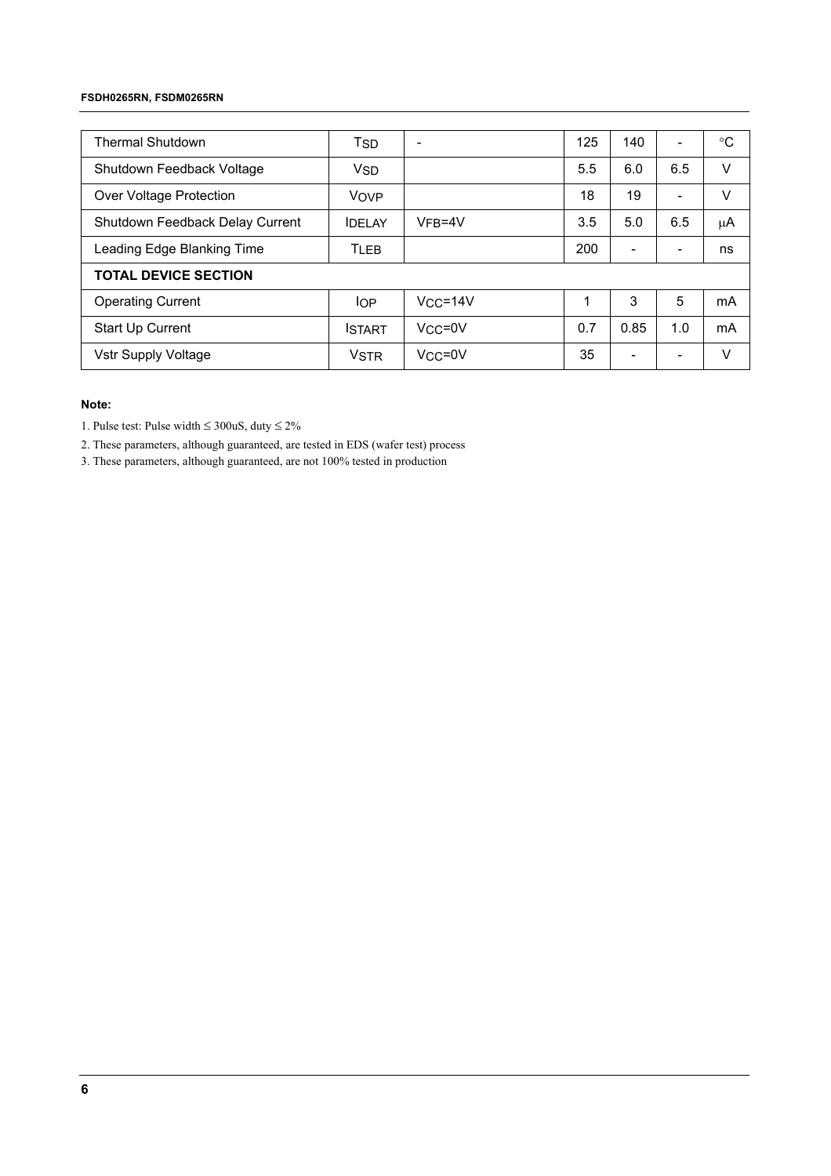#### **FSDH0265RN, FSDM0265RN**

| <b>Thermal Shutdown</b>         | Tsd           |                | 125 | 140                      | ۳   | $^{\circ}C$ |
|---------------------------------|---------------|----------------|-----|--------------------------|-----|-------------|
| Shutdown Feedback Voltage       | <b>VSD</b>    |                | 5.5 | 6.0                      | 6.5 | v           |
| Over Voltage Protection         | <b>VOVP</b>   |                | 18  | 19                       | ۰   | V           |
| Shutdown Feedback Delay Current | <b>IDELAY</b> | $VFB=4V$       | 3.5 | 5.0                      | 6.5 | μA          |
| Leading Edge Blanking Time      | <b>TLEB</b>   |                | 200 | -                        | -   | ns          |
| <b>TOTAL DEVICE SECTION</b>     |               |                |     |                          |     |             |
| <b>Operating Current</b>        | <b>IOP</b>    | $V_{CC} = 14V$ | 1   | 3                        | 5   | mA          |
| Start Up Current                | <b>ISTART</b> | $VCC = 0V$     | 0.7 | 0.85                     | 1.0 | mA          |
| Vstr Supply Voltage             | <b>VSTR</b>   | $VCC = 0V$     | 35  | $\overline{\phantom{0}}$ |     | v           |

## **Note:**

1. Pulse test: Pulse width  $\leq 300$ uS, duty  $\leq 2\%$ 

2. These parameters, although guaranteed, are tested in EDS (wafer test) process

3. These parameters, although guaranteed, are not 100% tested in production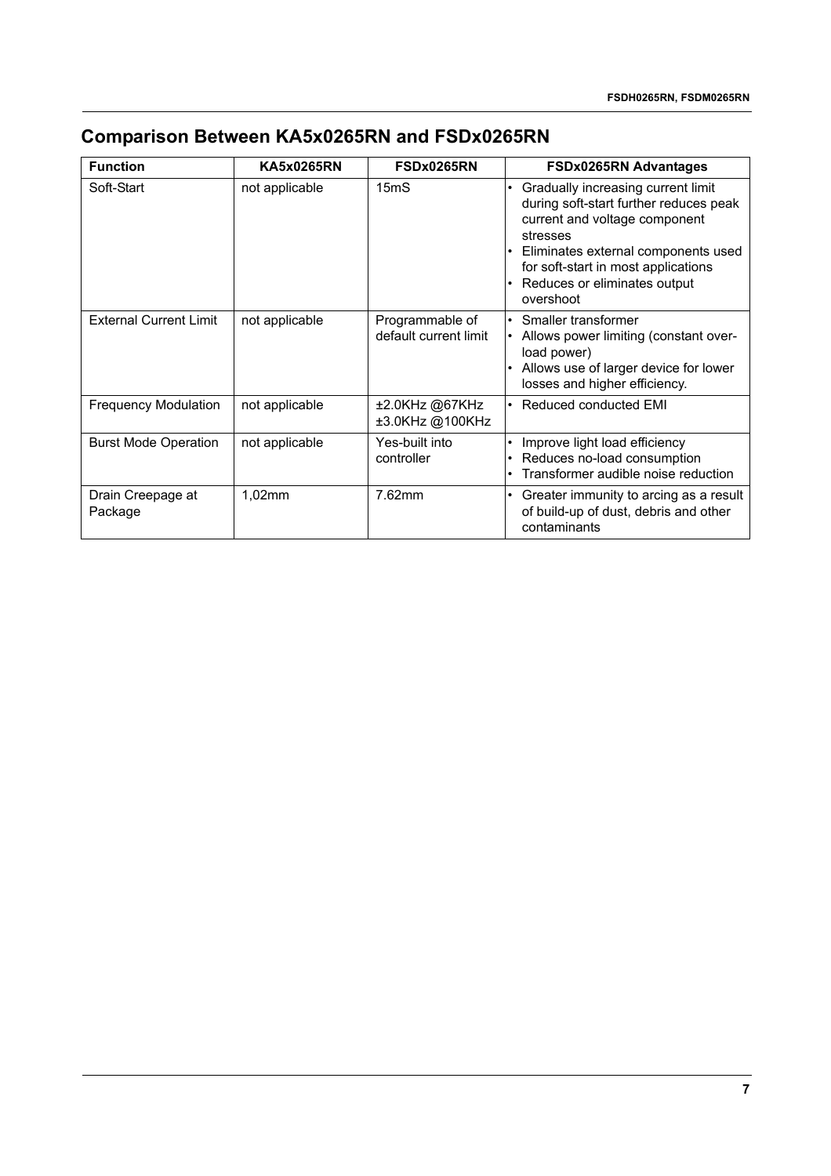# **Comparison Between KA5x0265RN and FSDx0265RN**

| <b>Function</b>               | <b>KA5x0265RN</b> | FSDx0265RN                               | <b>FSDx0265RN Advantages</b>                                                                                                                                                                                                                         |
|-------------------------------|-------------------|------------------------------------------|------------------------------------------------------------------------------------------------------------------------------------------------------------------------------------------------------------------------------------------------------|
| Soft-Start                    | not applicable    | 15 <sub>m</sub> S                        | Gradually increasing current limit<br>during soft-start further reduces peak<br>current and voltage component<br>stresses<br>Eliminates external components used<br>for soft-start in most applications<br>Reduces or eliminates output<br>overshoot |
| <b>External Current Limit</b> | not applicable    | Programmable of<br>default current limit | • Smaller transformer<br>Allows power limiting (constant over-<br>load power)<br>• Allows use of larger device for lower<br>losses and higher efficiency.                                                                                            |
| <b>Frequency Modulation</b>   | not applicable    | ±2.0KHz @67KHz<br>±3.0KHz @100KHz        | Reduced conducted EMI                                                                                                                                                                                                                                |
| <b>Burst Mode Operation</b>   | not applicable    | Yes-built into<br>controller             | Improve light load efficiency<br>Reduces no-load consumption<br>Transformer audible noise reduction                                                                                                                                                  |
| Drain Creepage at<br>Package  | 1,02mm            | 7.62mm                                   | Greater immunity to arcing as a result<br>of build-up of dust, debris and other<br>contaminants                                                                                                                                                      |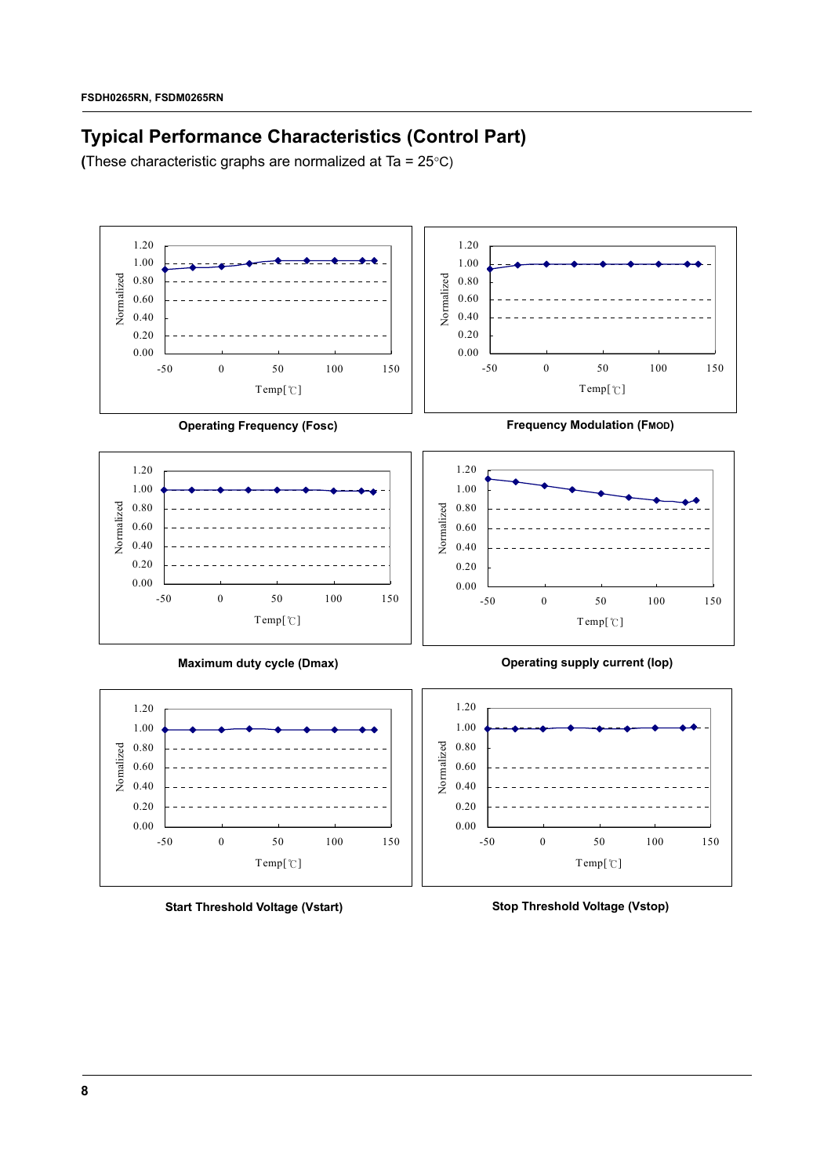# **Typical Performance Characteristics (Control Part)**

**(**These characteristic graphs are normalized at Ta = 25°C)



**Start Threshold Voltage (Vstart)**

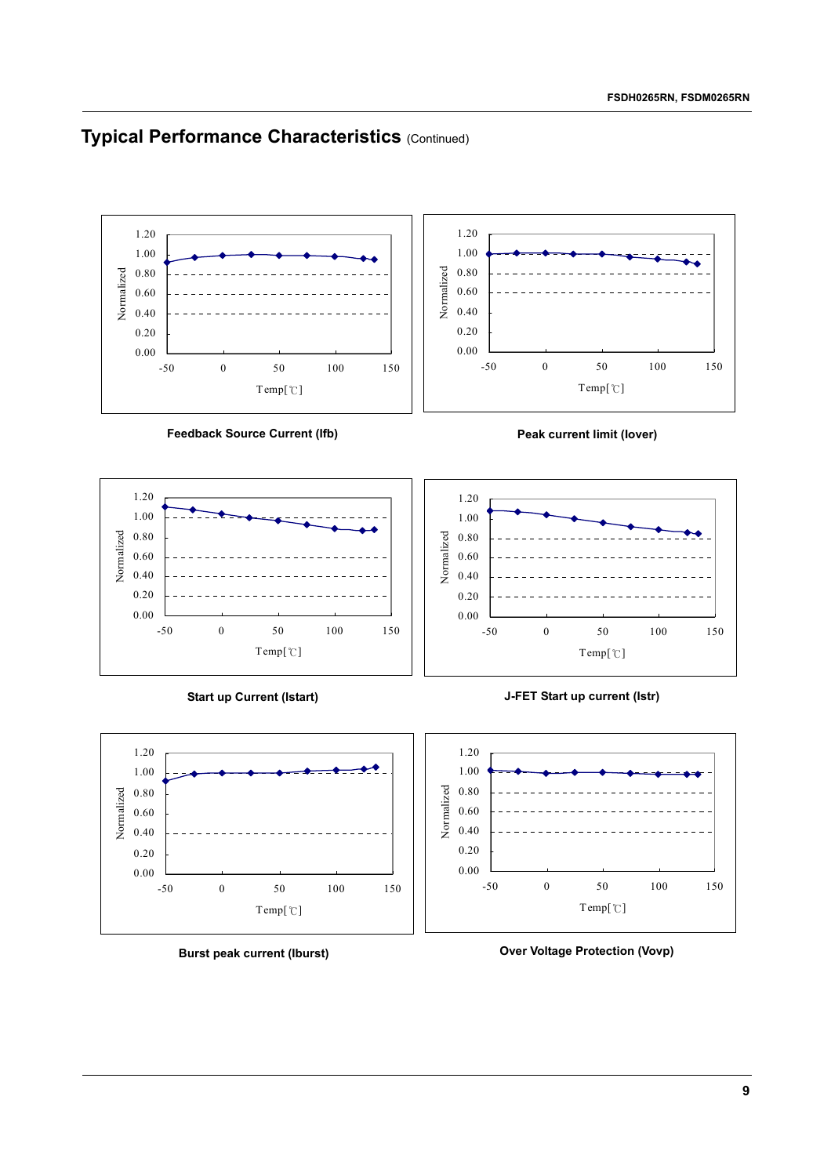## **Typical Performance Characteristics (Continued)**



0.00



**Burst peak current (Iburst)**

**Over Voltage Protection (Vovp)**

-50 0 50 100 150 Temp[℃]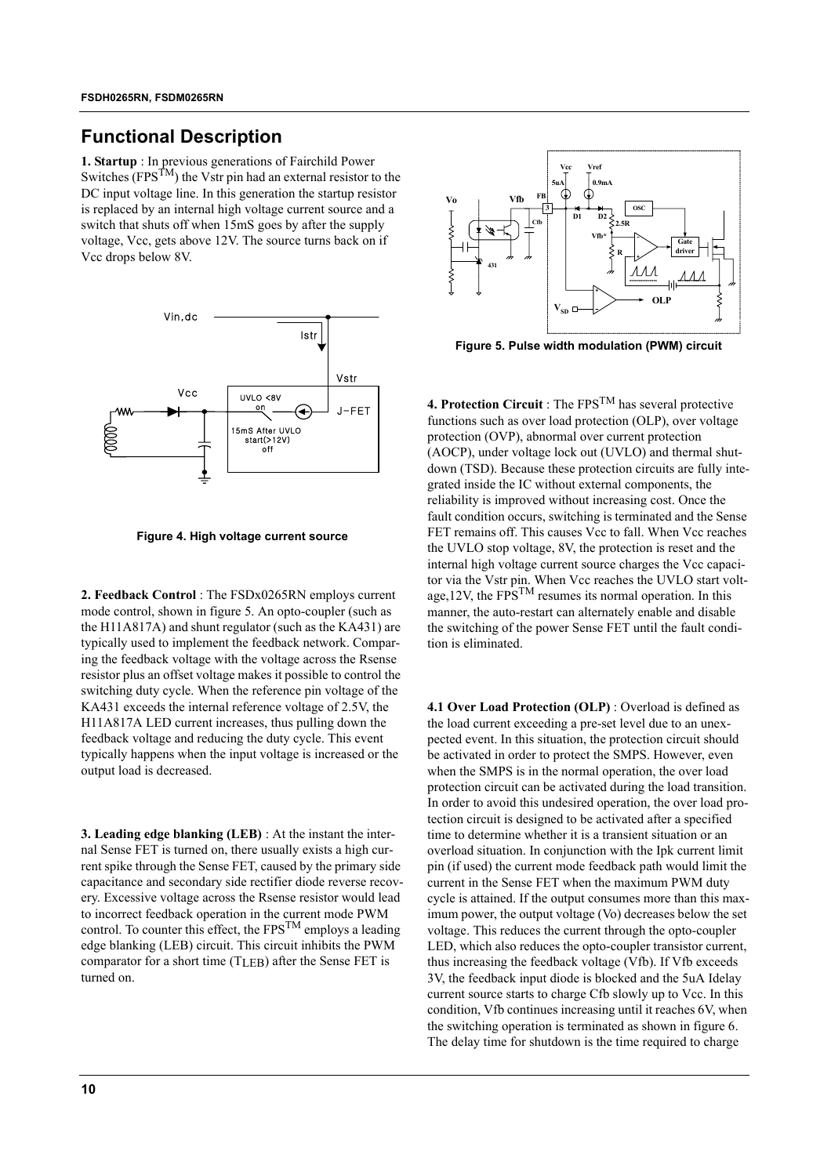## **Functional Description**

**1. Startup** : In previous generations of Fairchild Power Switches (FPS<sup>TM</sup>) the Vstr pin had an external resistor to the DC input voltage line. In this generation the startup resistor is replaced by an internal high voltage current source and a switch that shuts off when 15mS goes by after the supply voltage, Vcc, gets above 12V. The source turns back on if Vcc drops below 8V.



**Figure 4. High voltage current source**

**2. Feedback Control** : The FSDx0265RN employs current mode control, shown in figure 5. An opto-coupler (such as the H11A817A) and shunt regulator (such as the KA431) are typically used to implement the feedback network. Comparing the feedback voltage with the voltage across the Rsense resistor plus an offset voltage makes it possible to control the switching duty cycle. When the reference pin voltage of the KA431 exceeds the internal reference voltage of 2.5V, the H11A817A LED current increases, thus pulling down the feedback voltage and reducing the duty cycle. This event typically happens when the input voltage is increased or the output load is decreased.

**3. Leading edge blanking (LEB)** : At the instant the internal Sense FET is turned on, there usually exists a high current spike through the Sense FET, caused by the primary side capacitance and secondary side rectifier diode reverse recovery. Excessive voltage across the Rsense resistor would lead to incorrect feedback operation in the current mode PWM control. To counter this effect, the  $FPS^{TM}$  employs a leading edge blanking (LEB) circuit. This circuit inhibits the PWM comparator for a short time (TLEB) after the Sense FET is turned on.



**Figure 5. Pulse width modulation (PWM) circuit**

**4. Protection Circuit** : The FPSTM has several protective functions such as over load protection (OLP), over voltage protection (OVP), abnormal over current protection (AOCP), under voltage lock out (UVLO) and thermal shutdown (TSD). Because these protection circuits are fully integrated inside the IC without external components, the reliability is improved without increasing cost. Once the fault condition occurs, switching is terminated and the Sense FET remains off. This causes Vcc to fall. When Vcc reaches the UVLO stop voltage, 8V, the protection is reset and the internal high voltage current source charges the Vcc capacitor via the Vstr pin. When Vcc reaches the UVLO start voltage,  $12V$ , the FPS<sup>TM</sup> resumes its normal operation. In this manner, the auto-restart can alternately enable and disable the switching of the power Sense FET until the fault condition is eliminated.

**4.1 Over Load Protection (OLP)** : Overload is defined as the load current exceeding a pre-set level due to an unexpected event. In this situation, the protection circuit should be activated in order to protect the SMPS. However, even when the SMPS is in the normal operation, the over load protection circuit can be activated during the load transition. In order to avoid this undesired operation, the over load protection circuit is designed to be activated after a specified time to determine whether it is a transient situation or an overload situation. In conjunction with the Ipk current limit pin (if used) the current mode feedback path would limit the current in the Sense FET when the maximum PWM duty cycle is attained. If the output consumes more than this maximum power, the output voltage (Vo) decreases below the set voltage. This reduces the current through the opto-coupler LED, which also reduces the opto-coupler transistor current, thus increasing the feedback voltage (Vfb). If Vfb exceeds 3V, the feedback input diode is blocked and the 5uA Idelay current source starts to charge Cfb slowly up to Vcc. In this condition, Vfb continues increasing until it reaches 6V, when the switching operation is terminated as shown in figure 6. The delay time for shutdown is the time required to charge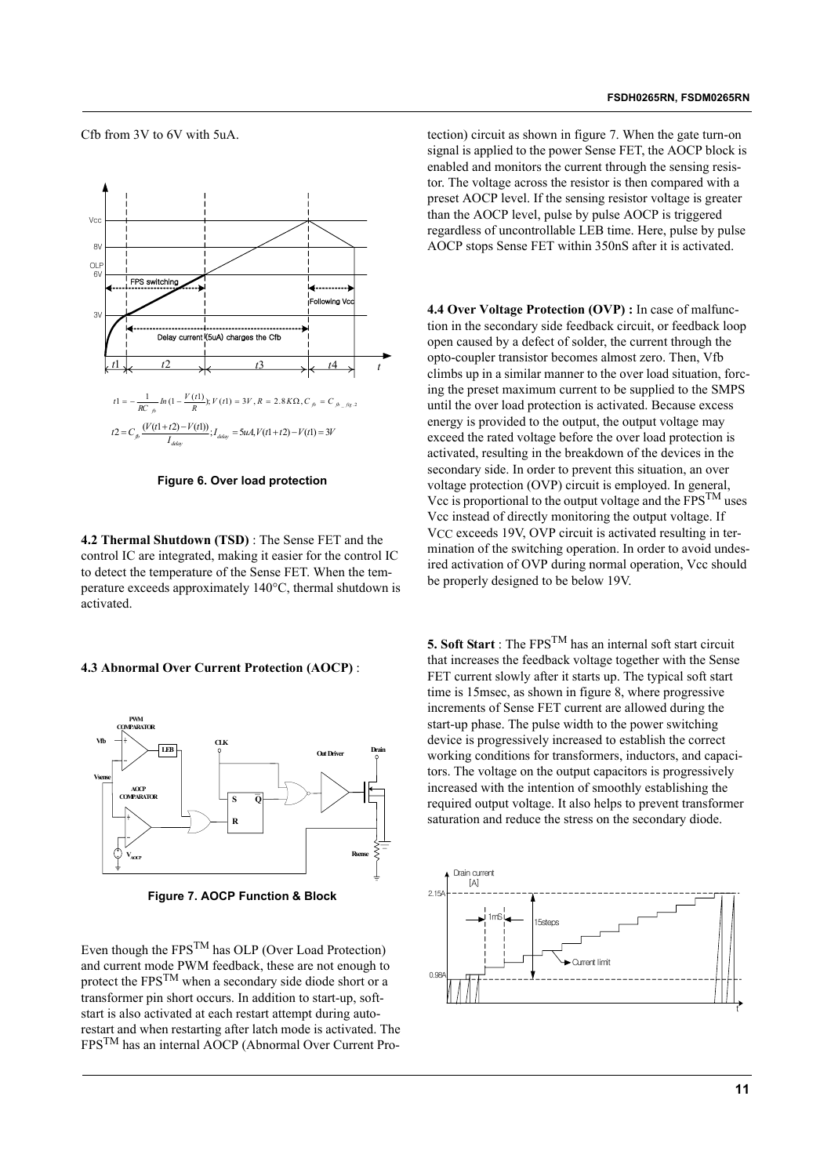Cfb from 3V to 6V with 5uA.



**Figure 6. Over load protection**

**4.2 Thermal Shutdown (TSD)** : The Sense FET and the control IC are integrated, making it easier for the control IC to detect the temperature of the Sense FET. When the temperature exceeds approximately 140°C, thermal shutdown is activated.

#### **4.3 Abnormal Over Current Protection (AOCP)** :



**Figure 7. AOCP Function & Block**

Even though the FPSTM has OLP (Over Load Protection) and current mode PWM feedback, these are not enough to protect the FPSTM when a secondary side diode short or a transformer pin short occurs. In addition to start-up, softstart is also activated at each restart attempt during autorestart and when restarting after latch mode is activated. The FPSTM has an internal AOCP (Abnormal Over Current Protection) circuit as shown in figure 7. When the gate turn-on signal is applied to the power Sense FET, the AOCP block is enabled and monitors the current through the sensing resistor. The voltage across the resistor is then compared with a preset AOCP level. If the sensing resistor voltage is greater than the AOCP level, pulse by pulse AOCP is triggered regardless of uncontrollable LEB time. Here, pulse by pulse AOCP stops Sense FET within 350nS after it is activated.

**4.4 Over Voltage Protection (OVP) :** In case of malfunction in the secondary side feedback circuit, or feedback loop open caused by a defect of solder, the current through the opto-coupler transistor becomes almost zero. Then, Vfb climbs up in a similar manner to the over load situation, forcing the preset maximum current to be supplied to the SMPS until the over load protection is activated. Because excess energy is provided to the output, the output voltage may exceed the rated voltage before the over load protection is activated, resulting in the breakdown of the devices in the secondary side. In order to prevent this situation, an over voltage protection (OVP) circuit is employed. In general, Vcc is proportional to the output voltage and the  $FPS^{TM}$  uses Vcc instead of directly monitoring the output voltage. If V<sub>CC</sub> exceeds 19V, OVP circuit is activated resulting in termination of the switching operation. In order to avoid undesired activation of OVP during normal operation, Vcc should be properly designed to be below 19V.

**5. Soft Start** : The FPS<sup>TM</sup> has an internal soft start circuit that increases the feedback voltage together with the Sense FET current slowly after it starts up. The typical soft start time is 15msec, as shown in figure 8, where progressive increments of Sense FET current are allowed during the start-up phase. The pulse width to the power switching device is progressively increased to establish the correct working conditions for transformers, inductors, and capacitors. The voltage on the output capacitors is progressively increased with the intention of smoothly establishing the required output voltage. It also helps to prevent transformer saturation and reduce the stress on the secondary diode.

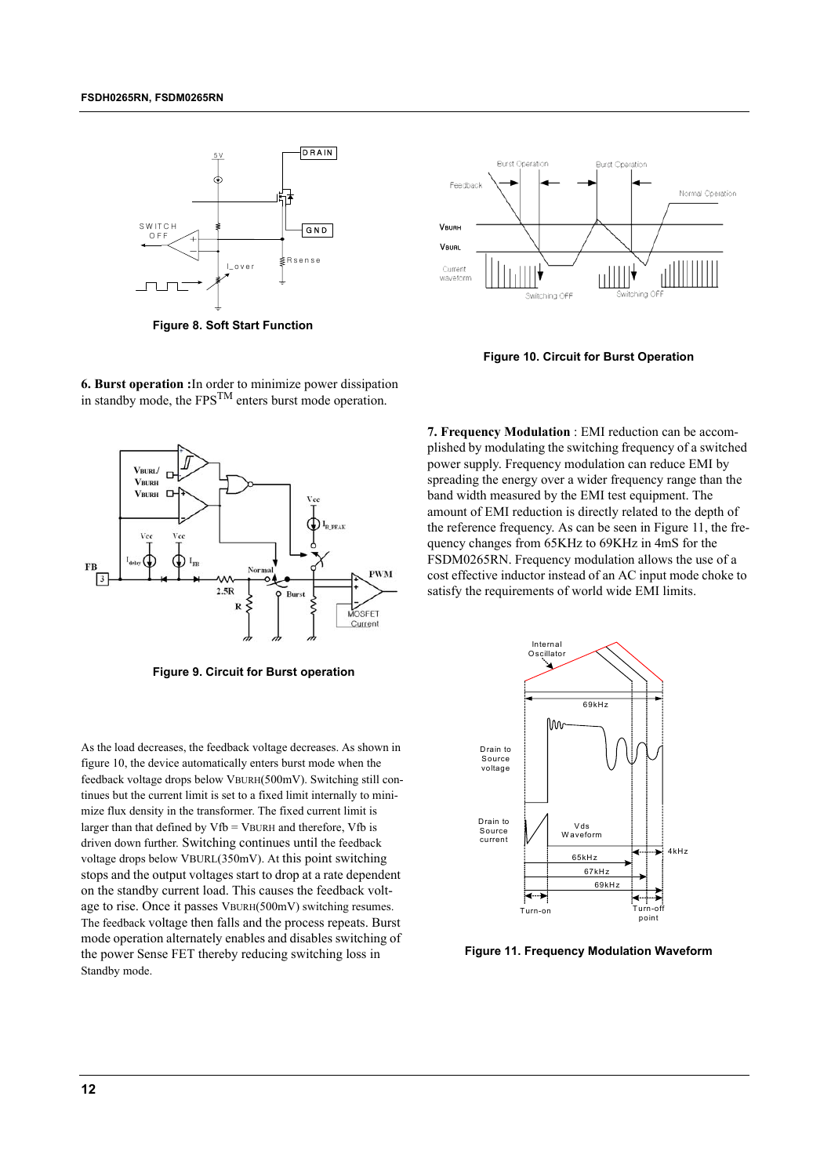

**Figure 8. Soft Start Function**



**Figure 10. Circuit for Burst Operation**



**Figure 9. Circuit for Burst operation**

As the load decreases, the feedback voltage decreases. As shown in figure 10, the device automatically enters burst mode when the feedback voltage drops below VBURH(500mV). Switching still continues but the current limit is set to a fixed limit internally to minimize flux density in the transformer. The fixed current limit is larger than that defined by  $Vfb = VBURH$  and therefore,  $Vfb$  is driven down further. Switching continues until the feedback voltage drops below VBURL(350mV). At this point switching stops and the output voltages start to drop at a rate dependent on the standby current load. This causes the feedback voltage to rise. Once it passes VBURH(500mV) switching resumes. The feedback voltage then falls and the process repeats. Burst mode operation alternately enables and disables switching of the power Sense FET thereby reducing switching loss in Standby mode.

**7. Frequency Modulation** : EMI reduction can be accomplished by modulating the switching frequency of a switched power supply. Frequency modulation can reduce EMI by spreading the energy over a wider frequency range than the band width measured by the EMI test equipment. The amount of EMI reduction is directly related to the depth of the reference frequency. As can be seen in Figure 11, the frequency changes from 65KHz to 69KHz in 4mS for the FSDM0265RN. Frequency modulation allows the use of a cost effective inductor instead of an AC input mode choke to satisfy the requirements of world wide EMI limits.



**Figure 11. Frequency Modulation Waveform**

**6. Burst operation :**In order to minimize power dissipation in standby mode, the  $FPS^{TM}$  enters burst mode operation.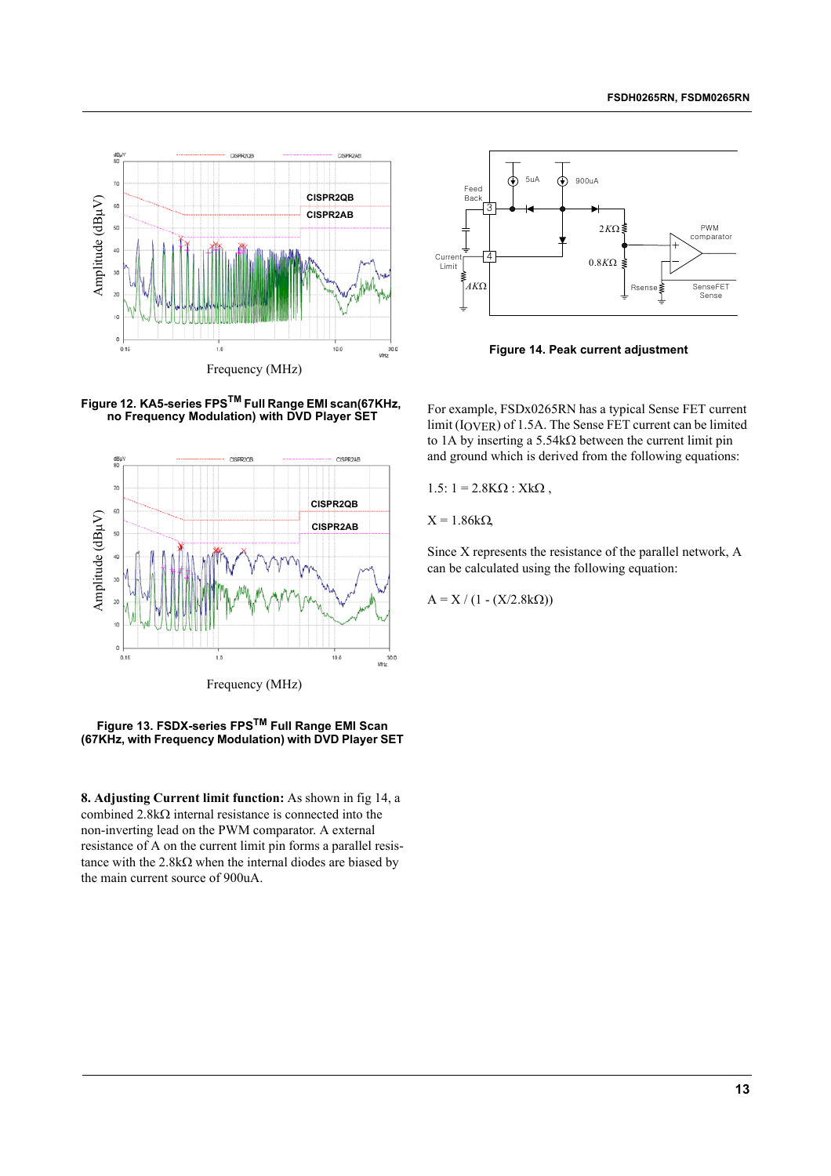



**Figure 14. Peak current adjustment**

**Figure 12. KA5-series FPSTM Full Range EMI scan(67KHz, no Frequency Modulation) with DVD Player SET**



### **Figure 13. FSDX-series FPSTM Full Range EMI Scan (67KHz, with Frequency Modulation) with DVD Player SET**

**8. Adjusting Current limit function:** As shown in fig 14, a combined 2.8kΩ internal resistance is connected into the non-inverting lead on the PWM comparator. A external resistance of A on the current limit pin forms a parallel resistance with the 2.8kΩ when the internal diodes are biased by the main current source of 900uA.

For example, FSDx0265RN has a typical Sense FET current limit (IOVER) of 1.5A. The Sense FET current can be limited to 1A by inserting a 5.54kΩ between the current limit pin and ground which is derived from the following equations:

1.5:  $1 = 2.8$ KΩ : XkΩ,

 $X = 1.86kΩ$ 

Since X represents the resistance of the parallel network, A can be calculated using the following equation:

 $A = X / (1 - (X/2.8kΩ))$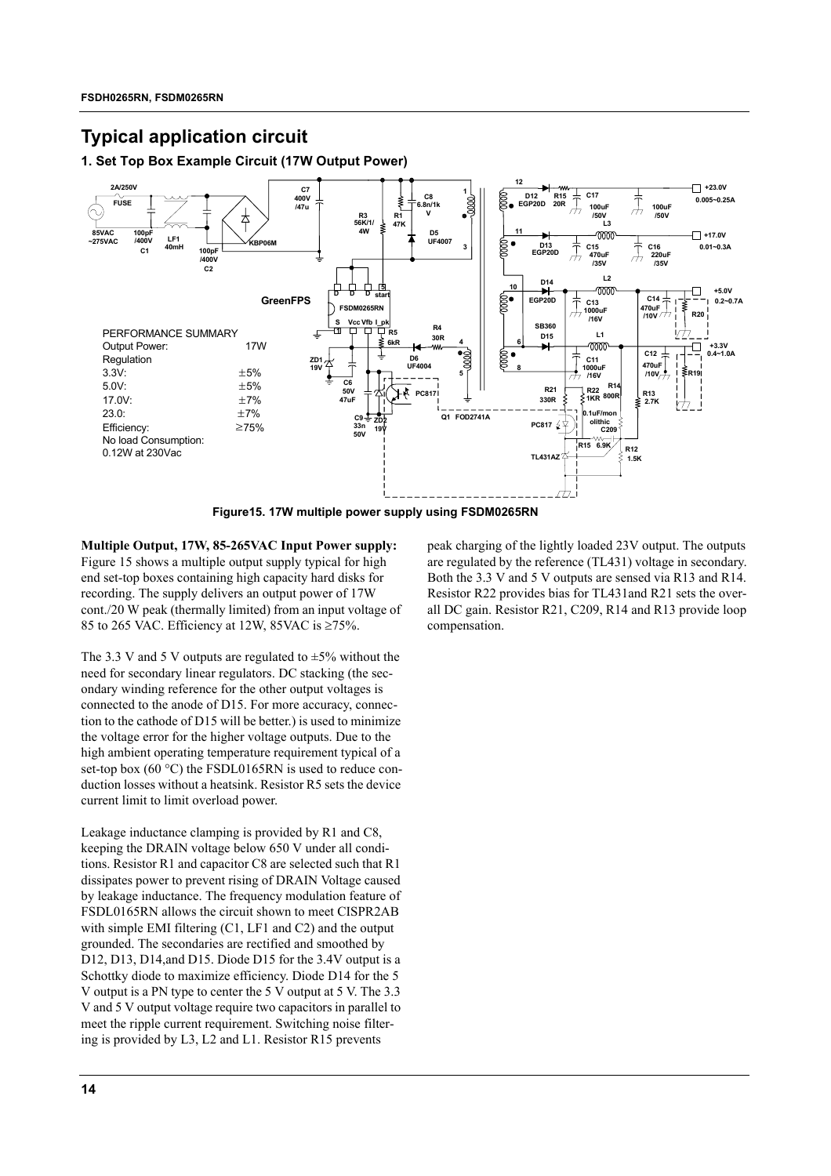## **Typical application circuit**

## **1. Set Top Box Example Circuit (17W Output Power)**



**Figure15. 17W multiple power supply using FSDM0265RN**

**Multiple Output, 17W, 85-265VAC Input Power supply:** Figure 15 shows a multiple output supply typical for high end set-top boxes containing high capacity hard disks for recording. The supply delivers an output power of 17W cont./20 W peak (thermally limited) from an input voltage of 85 to 265 VAC. Efficiency at 12W, 85VAC is ≥75%.

The 3.3 V and 5 V outputs are regulated to  $\pm$ 5% without the need for secondary linear regulators. DC stacking (the secondary winding reference for the other output voltages is connected to the anode of D15. For more accuracy, connection to the cathode of D15 will be better.) is used to minimize the voltage error for the higher voltage outputs. Due to the high ambient operating temperature requirement typical of a set-top box (60 °C) the FSDL0165RN is used to reduce conduction losses without a heatsink. Resistor R5 sets the device current limit to limit overload power.

Leakage inductance clamping is provided by R1 and C8, keeping the DRAIN voltage below 650 V under all conditions. Resistor R1 and capacitor C8 are selected such that R1 dissipates power to prevent rising of DRAIN Voltage caused by leakage inductance. The frequency modulation feature of FSDL0165RN allows the circuit shown to meet CISPR2AB with simple EMI filtering (C1, LF1 and C2) and the output grounded. The secondaries are rectified and smoothed by D12, D13, D14, and D15. Diode D15 for the 3.4V output is a Schottky diode to maximize efficiency. Diode D14 for the 5 V output is a PN type to center the 5 V output at 5 V. The 3.3 V and 5 V output voltage require two capacitors in parallel to meet the ripple current requirement. Switching noise filtering is provided by L3, L2 and L1. Resistor R15 prevents

peak charging of the lightly loaded 23V output. The outputs are regulated by the reference (TL431) voltage in secondary. Both the 3.3 V and 5 V outputs are sensed via R13 and R14. Resistor R22 provides bias for TL431and R21 sets the overall DC gain. Resistor R21, C209, R14 and R13 provide loop compensation.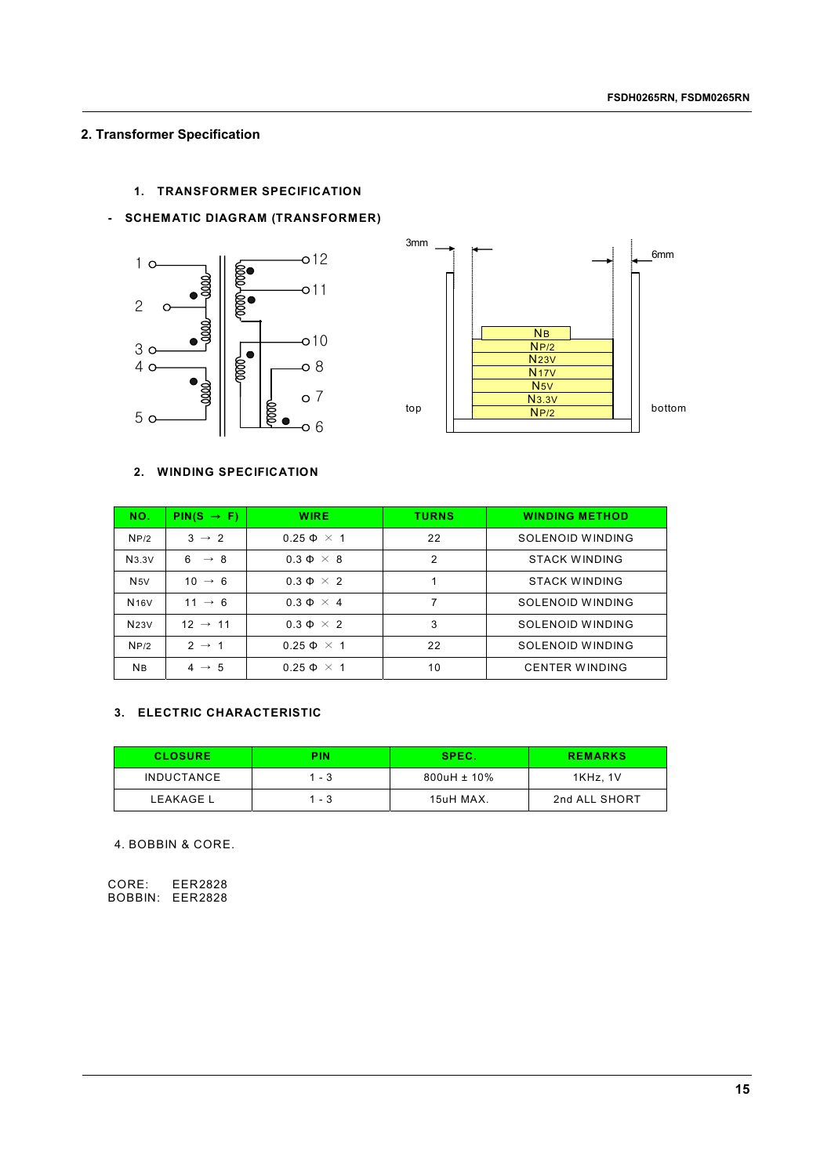## **2. Transformer Specification**

## **1. TRANSFORMER SPECIFICATION**

### **- SCHEMATIC DIAGRAM (TRANSFORMER)**





### **2. WINDING SPECIFICATION**

| NO.         | $PIN(S \rightarrow F)$ | <b>WIRE</b>          | <b>TURNS</b> | <b>WINDING METHOD</b> |
|-------------|------------------------|----------------------|--------------|-----------------------|
| NP/2        | $3 \rightarrow 2$      | $0.25 \Phi \times 1$ | 22           | SOLENOID WINDING      |
| N3.3V       | $6 \rightarrow 8$      | $0.3 \Phi \times 8$  | 2            | <b>STACK WINDING</b>  |
| N5V         | $10 \rightarrow 6$     | $0.3 \Phi \times 2$  |              | <b>STACK WINDING</b>  |
| <b>N16V</b> | $11 \rightarrow 6$     | $0.3 \Phi \times 4$  |              | SOLENOID WINDING      |
| N23V        | $12 \rightarrow 11$    | $0.3 \Phi \times 2$  | 3            | SOLENOID WINDING      |
| NP/2        | $2 \rightarrow 1$      | $0.25 \Phi \times 1$ | 22           | SOLENOID WINDING      |
| <b>NB</b>   | $4 \rightarrow 5$      | $0.25 \Phi \times 1$ | 10           | <b>CENTER WINDING</b> |

## **3. ELECTRIC CHARACTERISTIC**

| <b>CLOSURE</b>    | PIN   | SPEC.          | <b>REMARKS</b> |
|-------------------|-------|----------------|----------------|
| <b>INDUCTANCE</b> | 1 - 3 | $800$ uH ± 10% | 1KHz. 1V       |
| <b>LEAKAGE L</b>  | 1 - 3 | 15uH MAX.      | 2nd ALL SHORT  |

4. BOBBIN & CORE.

CORE: EER2828 BOBBIN: EER2828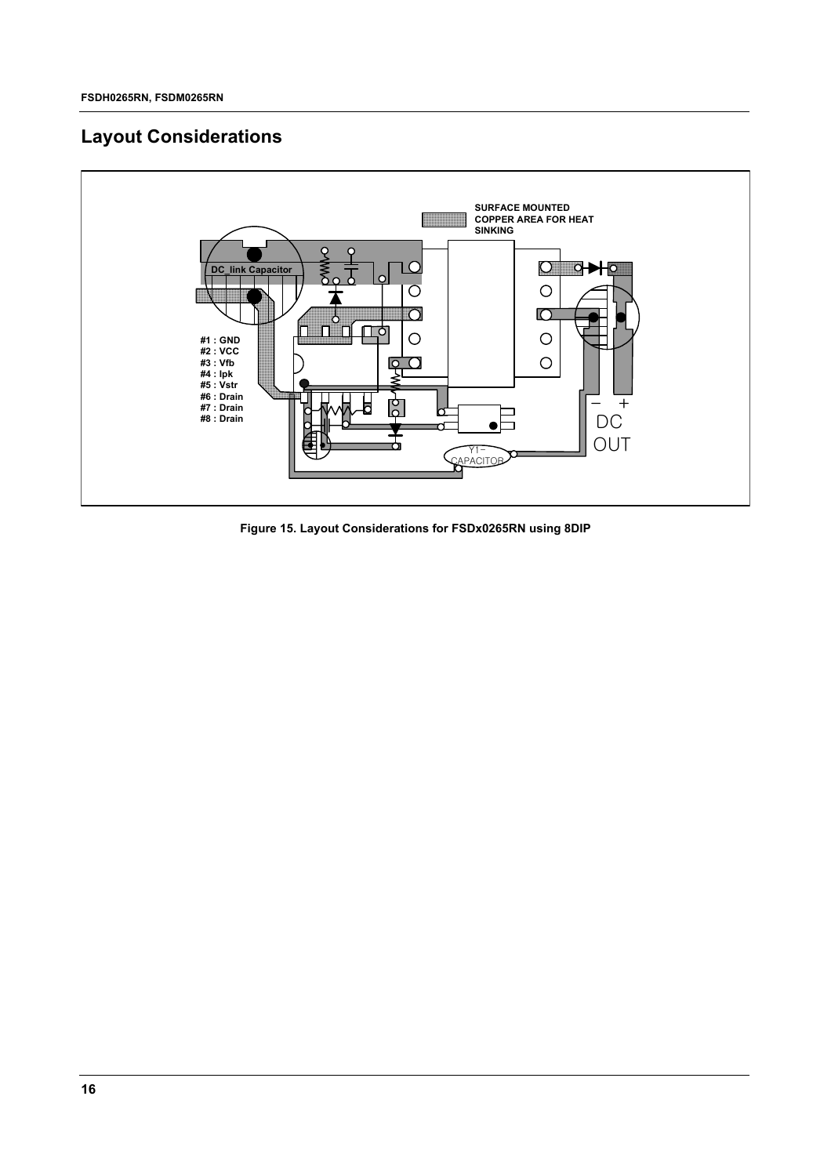# **Layout Considerations**



**Figure 15. Layout Considerations for FSDx0265RN using 8DIP**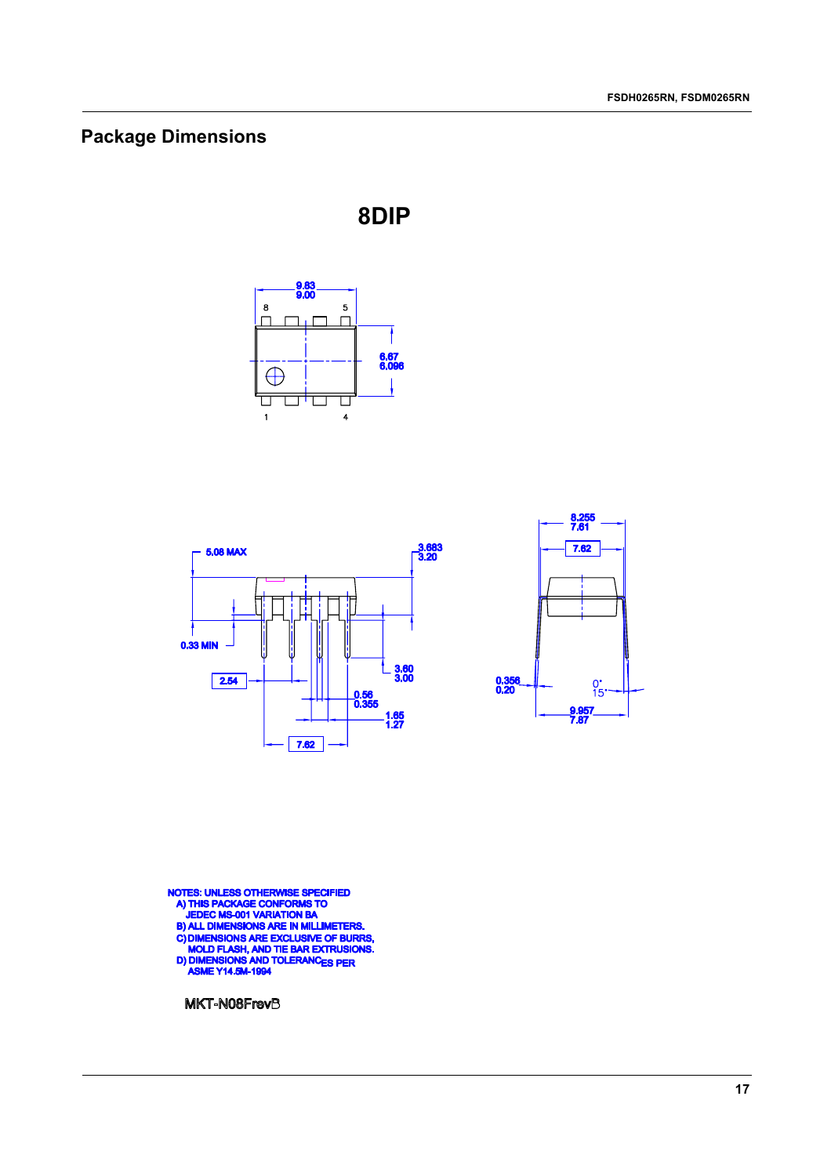# **Package Dimensions**



П  $\overline{4}$ 

 $\overline{\mathbf{8}}$ 

 $\overline{\Box}$ 

 $\mathbf{1}$ 

 $\overline{\phantom{a}}$ T

**8DIP**



NOTES: UNLESS OTHERWISE SPECIFIED<br>A) THIS PACKAGE CONFORMS TO<br>JEDEC MS-001 VARIATION BA<br>B) ALL DIMENSIONS ARE IN MILLIMETERS.<br>C) DIMENSIONS ARE EXCLUSIVE OF BURRS,<br>MOLD FLASH, AND TIE BAR EXTRUSIONS.<br>D) DIMENSIONS AND TOLE

MKT-N08FrevB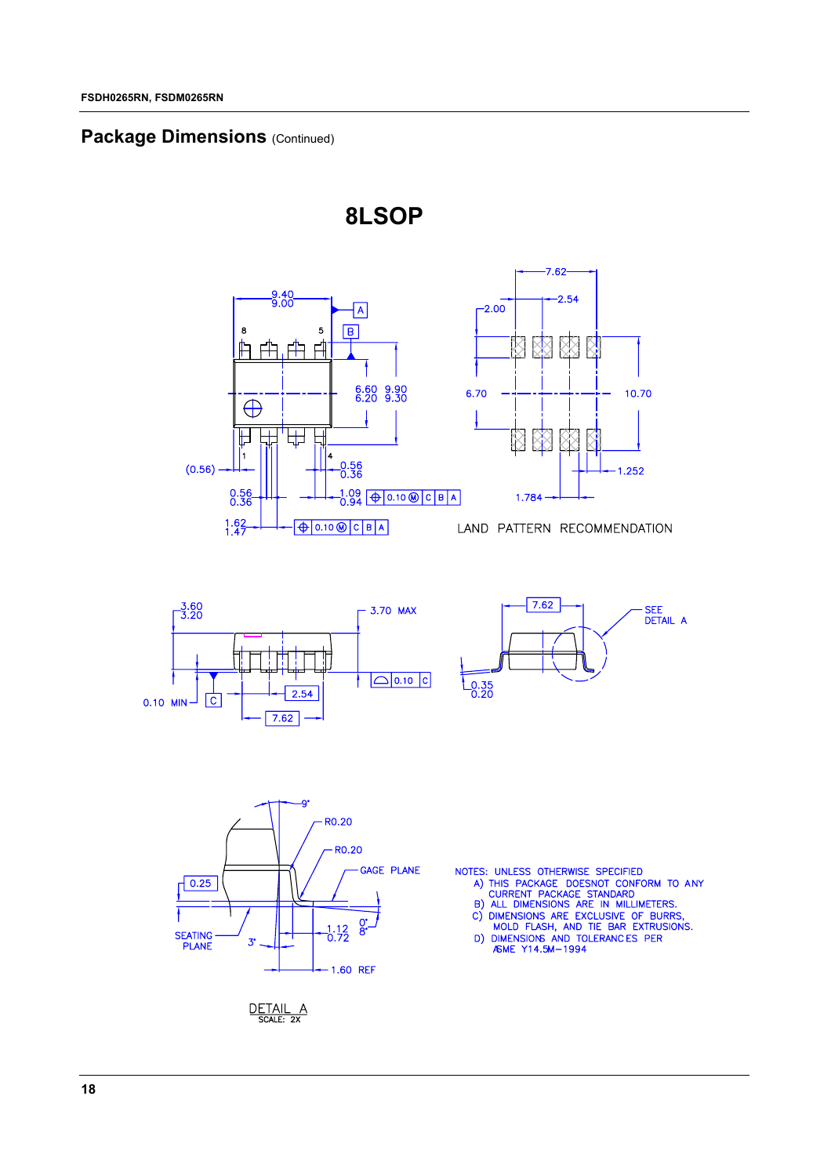## **Package Dimensions (Continued)**



**8LSOP**





10.70

1.252





- 
- 

DETAIL A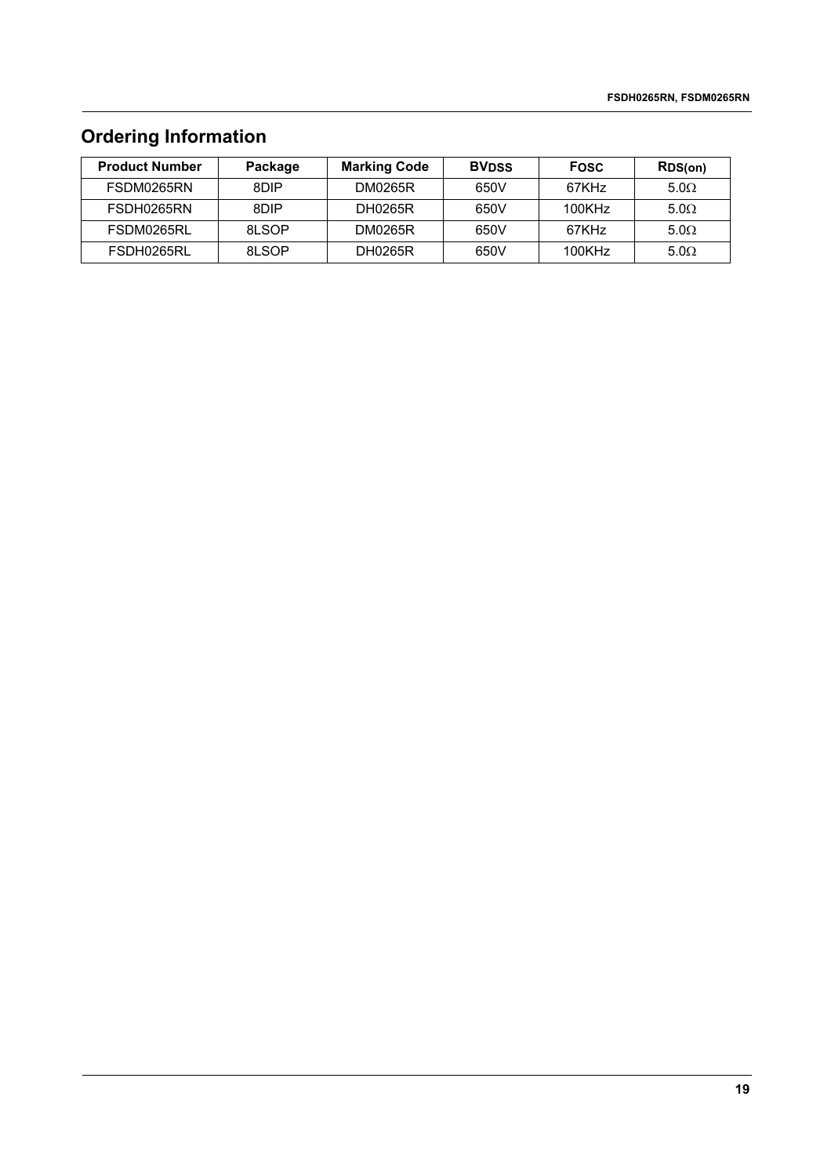# **Ordering Information**

| <b>Product Number</b> | Package | <b>Marking Code</b> | <b>BVDSS</b> | <b>Fosc</b>       | RDS(on)     |
|-----------------------|---------|---------------------|--------------|-------------------|-------------|
| FSDM0265RN            | 8DIP    | <b>DM0265R</b>      | 650V         | 67KH <sub>7</sub> | $5.0\Omega$ |
| FSDH0265RN            | 8DIP    | DH0265R             | 650V         | 100KHz            | $5.0\Omega$ |
| FSDM0265RL            | 81 SOP  | <b>DM0265R</b>      | 650V         | 67KH <sub>7</sub> | $5.0\Omega$ |
| FSDH0265RL            | 81 SOP  | DH0265R             | 650V         | 100KHz            | $5.0\Omega$ |